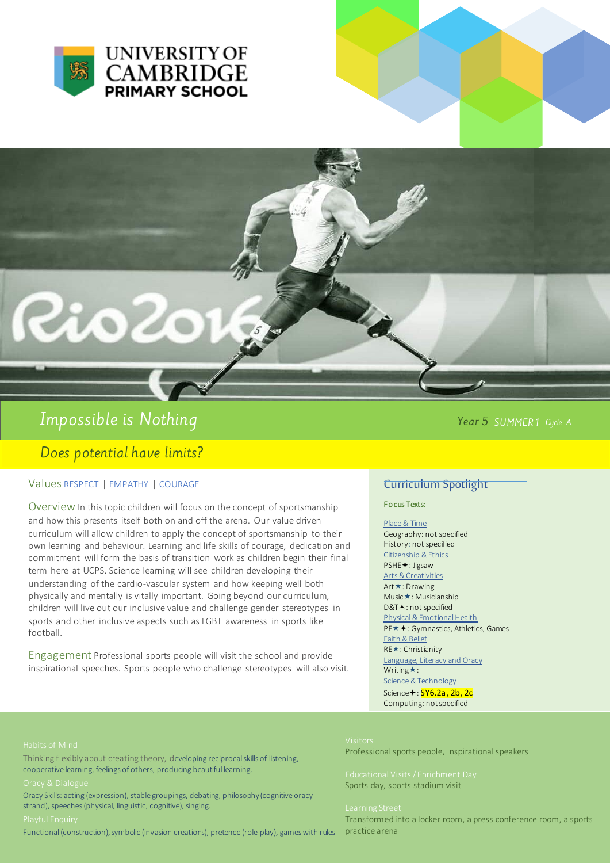



Rioc

Does potential have limits?

# Values RESPECT | EMPATHY | COURAGE

Overview In this topic children will focus on the concept of sportsmanship and how this presents itself both on and off the arena. Our value driven curriculum will allow children to apply the concept of sportsmanship to their own learning and behaviour. Learning and life skills of courage, dedication and commitment will form the basis of transition work as children begin their final term here at UCPS. Science learning will see children developing their understanding of the cardio-vascular system and how keeping well both physically and mentally is vitally important. Going beyond our curriculum, children will live out our inclusive value and challenge gender stereotypes in sports and other inclusive aspects such as LGBT awareness in sports like football.

Engagement Professional sports people will visit the school and provide inspirational speeches. Sports people who challenge stereotypes will also visit.

## Year 5 SUMMER1 Cycle A

## Curriculum Spotlight

### Fo cus Texts:

Place & Time Geography: not specified History: not specified Citizenship & Ethics

### PSHE<sup>+</sup>: Jigsaw

Arts & Creativities

Art **★**: Drawing Music **★**: Musicianship D&T▲: not specified Physical & Emotional Health PE $\star$  + : Gymnastics, Athletics, Games Faith & Belief **RE**★: Christianity Language, Literacy and Oracy Writing $\star$ : Science & Technology Science<sup>+</sup>: SY6.2a, 2b, 2c

Computing: not specified

Professional sports people, inspirational speakers

Sports day, sports stadium visit

Transformed into a locker room, a press conference room, a sports practice arena

-

Thinking flexibly about creating theory, developing reciprocal skills of listening, cooperative learning, feelings of others, producing beautiful learning.

Oracy Skills: acting (expression), stable groupings, debating, philosophy (cognitive oracy strand), speeches (physical, linguistic, cognitive), singing.

Functional (construction), symbolic (invasion creations), pretence (role-play), games with rules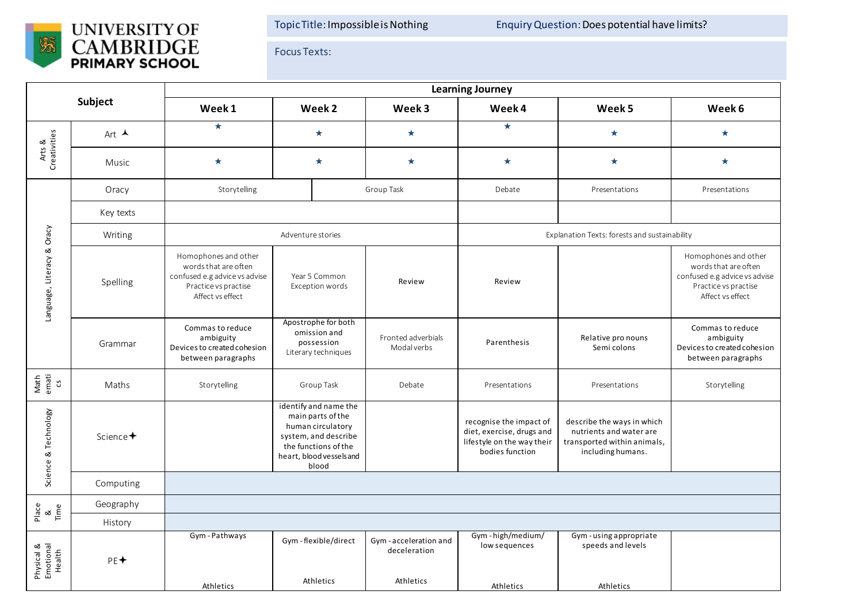

Focus Texts:

| Subject                           |                      | <b>Learning Journey</b>                                                                                                   |                                                                                                                                                      |                                                   |                                                                                                       |                                                                                                           |                                                                                                                           |  |  |  |
|-----------------------------------|----------------------|---------------------------------------------------------------------------------------------------------------------------|------------------------------------------------------------------------------------------------------------------------------------------------------|---------------------------------------------------|-------------------------------------------------------------------------------------------------------|-----------------------------------------------------------------------------------------------------------|---------------------------------------------------------------------------------------------------------------------------|--|--|--|
|                                   |                      | Week 1                                                                                                                    | Week 2                                                                                                                                               | Week 3                                            | Week 4                                                                                                | Week 5                                                                                                    | Week 6                                                                                                                    |  |  |  |
| Arts &<br>Creativities            | Art $\triangle$      | $\star$                                                                                                                   | $\star$                                                                                                                                              | $\star$                                           | $\star$                                                                                               | $\star$                                                                                                   | $\star$                                                                                                                   |  |  |  |
|                                   | Music                | $\star$                                                                                                                   | $\star$                                                                                                                                              | $\star$                                           | $\star$                                                                                               | $\star$                                                                                                   | $\star$                                                                                                                   |  |  |  |
| Language, Literacy & Oracy        | Oracy                | Storytelling                                                                                                              |                                                                                                                                                      | Group Task                                        | Debate                                                                                                | Presentations                                                                                             | Presentations                                                                                                             |  |  |  |
|                                   | Key texts            |                                                                                                                           |                                                                                                                                                      |                                                   |                                                                                                       |                                                                                                           |                                                                                                                           |  |  |  |
|                                   | Writing              | Adventure stories                                                                                                         |                                                                                                                                                      |                                                   | Explanation Texts: forests and sustainability                                                         |                                                                                                           |                                                                                                                           |  |  |  |
|                                   | Spelling             | Homophones and other<br>words that are often<br>confused e.g advice vs advise<br>Practice vs practise<br>Affect vs effect | Year 5 Common<br>Exception words                                                                                                                     | Review                                            | Review                                                                                                |                                                                                                           | Homophones and other<br>words that are often<br>confused e.g advice vs advise<br>Practice vs practise<br>Affect vs effect |  |  |  |
|                                   | Grammar              | Commas to reduce<br>ambiguity<br>Devices to created cohesion<br>between paragraphs                                        | Apostrophe for both<br>omission and<br>possession<br>Literary techniques                                                                             | Fronted adverbials<br>Modal verbs                 | Parenthesis                                                                                           | Relative pro nouns<br>Semi colons                                                                         | Commas to reduce<br>ambiguity<br>Devices to created cohesion<br>between paragraphs                                        |  |  |  |
| Math<br>emati<br>cs               | Maths                | Storytelling                                                                                                              | Group Task                                                                                                                                           | Debate                                            | Presentations                                                                                         | Presentations                                                                                             | Storytelling                                                                                                              |  |  |  |
| Science & Technology              | Science <sup>+</sup> |                                                                                                                           | identify and name the<br>main parts of the<br>human circulatory<br>system, and describe<br>the functions of the<br>heart, blood vessels and<br>blood |                                                   | recognise the impact of<br>diet, exercise, drugs and<br>lifestyle on the way their<br>bodies function | describe the ways in which<br>nutrients and water are<br>transported within animals,<br>including humans. |                                                                                                                           |  |  |  |
|                                   | Computing            |                                                                                                                           |                                                                                                                                                      |                                                   |                                                                                                       |                                                                                                           |                                                                                                                           |  |  |  |
| Place<br>&<br>Time                | Geography            |                                                                                                                           |                                                                                                                                                      |                                                   |                                                                                                       |                                                                                                           |                                                                                                                           |  |  |  |
|                                   | History              |                                                                                                                           |                                                                                                                                                      |                                                   |                                                                                                       |                                                                                                           |                                                                                                                           |  |  |  |
| Physical &<br>Emotional<br>Health | $PE+$                | Gym-Pathways                                                                                                              | Gym-flexible/direct<br>Athletics                                                                                                                     | Gym-acceleration and<br>deceleration<br>Athletics | Gym-high/medium/<br>low sequences                                                                     | Gym - using appropriate<br>speeds and levels                                                              |                                                                                                                           |  |  |  |
|                                   |                      | Athletics                                                                                                                 |                                                                                                                                                      |                                                   | Athletics                                                                                             | Athletics                                                                                                 |                                                                                                                           |  |  |  |